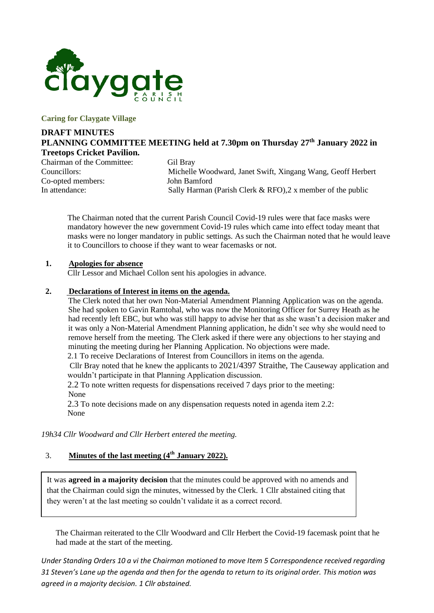

#### **Caring for Claygate Village**

### **DRAFT MINUTES PLANNING COMMITTEE MEETING held at 7.30pm on Thursday 27th January 2022 in Treetops Cricket Pavilion.**

Chairman of the Committee: Gil Bray<br>Councillors: Michelle Co-opted members: John Bamford

Michelle Woodward, Janet Swift, Xingang Wang, Geoff Herbert In attendance: Sally Harman (Parish Clerk & RFO),2 x member of the public

The Chairman noted that the current Parish Council Covid-19 rules were that face masks were mandatory however the new government Covid-19 rules which came into effect today meant that masks were no longer mandatory in public settings. As such the Chairman noted that he would leave it to Councillors to choose if they want to wear facemasks or not.

#### **1. Apologies for absence**

Cllr Lessor and Michael Collon sent his apologies in advance.

#### **2. Declarations of Interest in items on the agenda.**

The Clerk noted that her own Non-Material Amendment Planning Application was on the agenda. She had spoken to Gavin Ramtohal, who was now the Monitoring Officer for Surrey Heath as he had recently left EBC, but who was still happy to advise her that as she wasn't a decision maker and it was only a Non-Material Amendment Planning application, he didn't see why she would need to remove herself from the meeting. The Clerk asked if there were any objections to her staying and minuting the meeting during her Planning Application. No objections were made.

2.1 To receive Declarations of Interest from Councillors in items on the agenda.

Cllr Bray noted that he knew the applicants to 2021/4397 Straithe, The Causeway application and wouldn't participate in that Planning Application discussion.

2.2 To note written requests for dispensations received 7 days prior to the meeting: None

2.3 To note decisions made on any dispensation requests noted in agenda item 2.2: None

*19h34 Cllr Woodward and Cllr Herbert entered the meeting.*

#### 3. **Minutes of the last meeting (4 th January 2022).**

It was **agreed in a majority decision** that the minutes could be approved with no amends and that the Chairman could sign the minutes, witnessed by the Clerk. 1 Cllr abstained citing that they weren't at the last meeting so couldn't validate it as a correct record.

The Chairman reiterated to the Cllr Woodward and Cllr Herbert the Covid-19 facemask point that he had made at the start of the meeting.

*Under Standing Orders 10 a vi the Chairman motioned to move Item 5 Correspondence received regarding 31 Steven's Lane up the agenda and then for the agenda to return to its original order. This motion was agreed in a majority decision. 1 Cllr abstained.*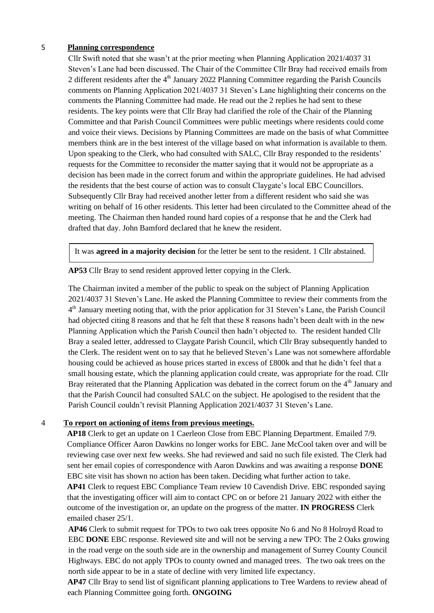#### 5 **Planning correspondence**

Cllr Swift noted that she wasn't at the prior meeting when Planning Application 2021/4037 31 Steven's Lane had been discussed. The Chair of the Committee Cllr Bray had received emails from 2 different residents after the  $4<sup>th</sup>$  January 2022 Planning Committee regarding the Parish Councils comments on Planning Application 2021/4037 31 Steven's Lane highlighting their concerns on the comments the Planning Committee had made. He read out the 2 replies he had sent to these residents. The key points were that Cllr Bray had clarified the role of the Chair of the Planning Committee and that Parish Council Committees were public meetings where residents could come and voice their views. Decisions by Planning Committees are made on the basis of what Committee members think are in the best interest of the village based on what information is available to them. Upon speaking to the Clerk, who had consulted with SALC, Cllr Bray responded to the residents' requests for the Committee to reconsider the matter saying that it would not be appropriate as a decision has been made in the correct forum and within the appropriate guidelines. He had advised the residents that the best course of action was to consult Claygate's local EBC Councillors. Subsequently Cllr Bray had received another letter from a different resident who said she was writing on behalf of 16 other residents. This letter had been circulated to the Committee ahead of the meeting. The Chairman then handed round hard copies of a response that he and the Clerk had drafted that day. John Bamford declared that he knew the resident.

It was **agreed in a majority decision** for the letter be sent to the resident. 1 Cllr abstained.

**AP53** Cllr Bray to send resident approved letter copying in the Clerk.

The Chairman invited a member of the public to speak on the subject of Planning Application 2021/4037 31 Steven's Lane. He asked the Planning Committee to review their comments from the 4<sup>th</sup> January meeting noting that, with the prior application for 31 Steven's Lane, the Parish Council had objected citing 8 reasons and that he felt that these 8 reasons hadn't been dealt with in the new Planning Application which the Parish Council then hadn't objected to. The resident handed Cllr Bray a sealed letter, addressed to Claygate Parish Council, which Cllr Bray subsequently handed to the Clerk. The resident went on to say that he believed Steven's Lane was not somewhere affordable housing could be achieved as house prices started in excess of £800k and that he didn't feel that a small housing estate, which the planning application could create, was appropriate for the road. Cllr Bray reiterated that the Planning Application was debated in the correct forum on the  $4<sup>th</sup>$  January and that the Parish Council had consulted SALC on the subject. He apologised to the resident that the Parish Council couldn't revisit Planning Application 2021/4037 31 Steven's Lane.

#### 4 **To report on actioning of items from previous meetings.**

**AP18** Clerk to get an update on 1 Caerleon Close from EBC Planning Department. Emailed 7/9. Compliance Officer Aaron Dawkins no longer works for EBC. Jane McCool taken over and will be reviewing case over next few weeks. She had reviewed and said no such file existed. The Clerk had sent her email copies of correspondence with Aaron Dawkins and was awaiting a response **DONE**  EBC site visit has shown no action has been taken. Deciding what further action to take.

**AP41** Clerk to request EBC Compliance Team review 10 Cavendish Drive. EBC responded saying that the investigating officer will aim to contact CPC on or before 21 January 2022 with either the outcome of the investigation or, an update on the progress of the matter. **IN PROGRESS** Clerk emailed chaser 25/1.

**AP46** Clerk to submit request for TPOs to two oak trees opposite No 6 and No 8 Holroyd Road to EBC **DONE** EBC response. Reviewed site and will not be serving a new TPO: The 2 Oaks growing in the road verge on the south side are in the ownership and management of Surrey County Council Highways. EBC do not apply TPOs to county owned and managed trees. The two oak trees on the north side appear to be in a state of decline with very limited life expectancy.

**AP47** Cllr Bray to send list of significant planning applications to Tree Wardens to review ahead of each Planning Committee going forth. **ONGOING**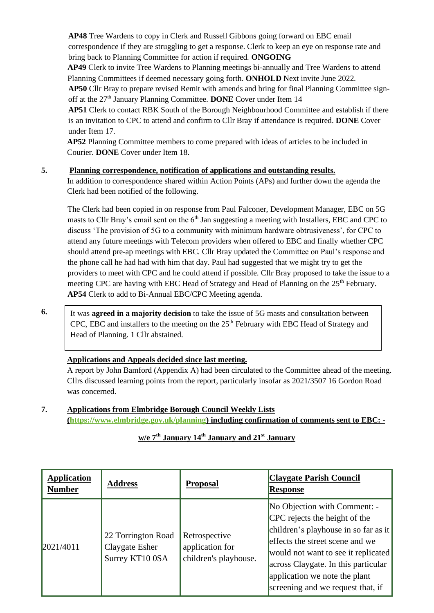**AP48** Tree Wardens to copy in Clerk and Russell Gibbons going forward on EBC email correspondence if they are struggling to get a response. Clerk to keep an eye on response rate and bring back to Planning Committee for action if required. **ONGOING**

**AP49** Clerk to invite Tree Wardens to Planning meetings bi-annually and Tree Wardens to attend Planning Committees if deemed necessary going forth. **ONHOLD** Next invite June 2022.

**AP50** Cllr Bray to prepare revised Remit with amends and bring for final Planning Committee signoff at the 27<sup>th</sup> January Planning Committee. **DONE** Cover under Item 14

**AP51** Clerk to contact RBK South of the Borough Neighbourhood Committee and establish if there is an invitation to CPC to attend and confirm to Cllr Bray if attendance is required. **DONE** Cover under Item 17.

**AP52** Planning Committee members to come prepared with ideas of articles to be included in Courier. **DONE** Cover under Item 18.

#### **5. Planning correspondence, notification of applications and outstanding results.**

In addition to correspondence shared within Action Points (APs) and further down the agenda the Clerk had been notified of the following.

The Clerk had been copied in on response from Paul Falconer, Development Manager, EBC on 5G masts to Cllr Bray's email sent on the  $6<sup>th</sup>$  Jan suggesting a meeting with Installers, EBC and CPC to discuss 'The provision of 5G to a community with minimum hardware obtrusiveness', for CPC to attend any future meetings with Telecom providers when offered to EBC and finally whether CPC should attend pre-ap meetings with EBC. Cllr Bray updated the Committee on Paul's response and the phone call he had had with him that day. Paul had suggested that we might try to get the providers to meet with CPC and he could attend if possible. Cllr Bray proposed to take the issue to a meeting CPC are having with EBC Head of Strategy and Head of Planning on the 25<sup>th</sup> February. **AP54** Clerk to add to Bi-Annual EBC/CPC Meeting agenda.

**6.** 

It was **agreed in a majority decision** to take the issue of 5G masts and consultation between CPC, EBC and installers to the meeting on the  $25<sup>th</sup>$  February with EBC Head of Strategy and Head of Planning. 1 Cllr abstained.

### **Applications and Appeals decided since last meeting.**

A report by John Bamford (Appendix A) had been circulated to the Committee ahead of the meeting. Cllrs discussed learning points from the report, particularly insofar as 2021/3507 16 Gordon Road was concerned.

### **7. Applications from Elmbridge Borough Council Weekly Lists [\(https://www.elmbridge.gov.uk/planning\)](https://www.elmbridge.gov.uk/planning) including confirmation of comments sent to EBC: -**

| w/e $7th$ January 14 <sup>th</sup> January and 21 <sup>st</sup> January |  |  |
|-------------------------------------------------------------------------|--|--|
|-------------------------------------------------------------------------|--|--|

| <b>Application</b><br><b>Number</b> | <b>Address</b>                                          | <b>Proposal</b>                                           | <b>Claygate Parish Council</b><br><b>Response</b>                                                                                                                                                                                                                                            |
|-------------------------------------|---------------------------------------------------------|-----------------------------------------------------------|----------------------------------------------------------------------------------------------------------------------------------------------------------------------------------------------------------------------------------------------------------------------------------------------|
| 2021/4011                           | 22 Torrington Road<br>Claygate Esher<br>Surrey KT10 0SA | Retrospective<br>application for<br>children's playhouse. | No Objection with Comment: -<br>CPC rejects the height of the<br>children's playhouse in so far as it<br>effects the street scene and we<br>would not want to see it replicated<br>across Claygate. In this particular<br>application we note the plant<br>screening and we request that, if |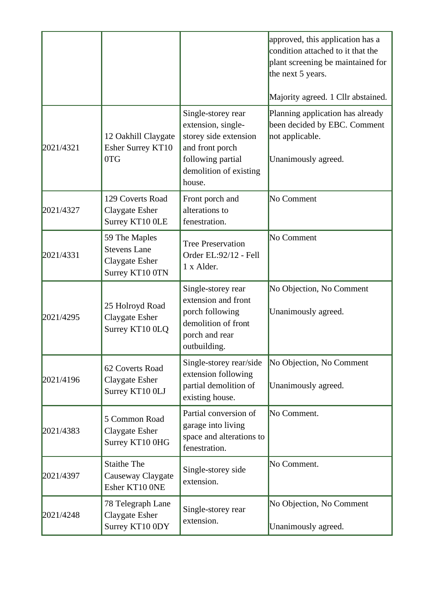|           |                                                                           |                                                                                                                                               | approved, this application has a<br>condition attached to it that the<br>plant screening be maintained for<br>the next 5 years.<br>Majority agreed. 1 Cllr abstained. |
|-----------|---------------------------------------------------------------------------|-----------------------------------------------------------------------------------------------------------------------------------------------|-----------------------------------------------------------------------------------------------------------------------------------------------------------------------|
| 2021/4321 | 12 Oakhill Claygate<br>Esher Surrey KT10<br>0TG                           | Single-storey rear<br>extension, single-<br>storey side extension<br>and front porch<br>following partial<br>demolition of existing<br>house. | Planning application has already<br>been decided by EBC. Comment<br>not applicable.<br>Unanimously agreed.                                                            |
| 2021/4327 | 129 Coverts Road<br>Claygate Esher<br>Surrey KT10 OLE                     | Front porch and<br>alterations to<br>fenestration.                                                                                            | No Comment                                                                                                                                                            |
| 2021/4331 | 59 The Maples<br><b>Stevens Lane</b><br>Claygate Esher<br>Surrey KT10 0TN | <b>Tree Preservation</b><br>Order EL:92/12 - Fell<br>1 x Alder.                                                                               | No Comment                                                                                                                                                            |
| 2021/4295 | 25 Holroyd Road<br>Claygate Esher<br>Surrey KT10 0LQ                      | Single-storey rear<br>extension and front<br>porch following<br>demolition of front<br>porch and rear<br>outbuilding.                         | No Objection, No Comment<br>Unanimously agreed.                                                                                                                       |
| 2021/4196 | 62 Coverts Road<br>Claygate Esher<br>Surrey KT10 0LJ                      | Single-storey rear/side<br>extension following<br>partial demolition of<br>existing house.                                                    | No Objection, No Comment<br>Unanimously agreed.                                                                                                                       |
| 2021/4383 | 5 Common Road<br>Claygate Esher<br>Surrey KT10 0HG                        | Partial conversion of<br>garage into living<br>space and alterations to<br>fenestration.                                                      | No Comment.                                                                                                                                                           |
| 2021/4397 | <b>Staithe The</b><br>Causeway Claygate<br>Esher KT10 ONE                 | Single-storey side<br>extension.                                                                                                              | No Comment.                                                                                                                                                           |
| 2021/4248 | 78 Telegraph Lane<br>Claygate Esher<br>Surrey KT10 0DY                    | Single-storey rear<br>extension.                                                                                                              | No Objection, No Comment<br>Unanimously agreed.                                                                                                                       |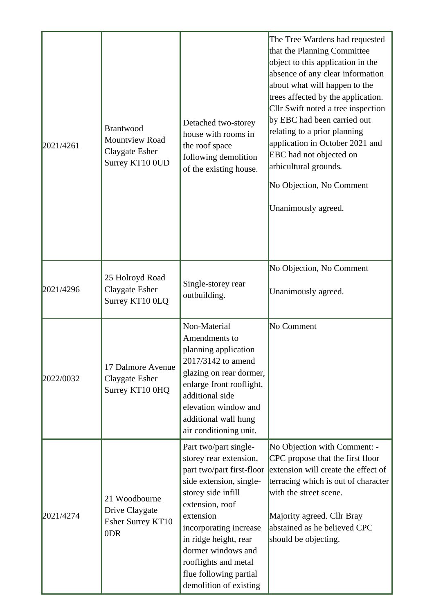| 2021/4261 | <b>Brantwood</b><br>Mountview Road<br>Claygate Esher<br>Surrey KT10 0UD | Detached two-storey<br>house with rooms in<br>the roof space<br>following demolition<br>of the existing house.                                                                                                                                                                                                     | The Tree Wardens had requested<br>that the Planning Committee<br>object to this application in the<br>absence of any clear information<br>about what will happen to the<br>trees affected by the application.<br>Cllr Swift noted a tree inspection<br>by EBC had been carried out<br>relating to a prior planning<br>application in October 2021 and<br>EBC had not objected on<br>arbicultural grounds.<br>No Objection, No Comment<br>Unanimously agreed. |
|-----------|-------------------------------------------------------------------------|--------------------------------------------------------------------------------------------------------------------------------------------------------------------------------------------------------------------------------------------------------------------------------------------------------------------|--------------------------------------------------------------------------------------------------------------------------------------------------------------------------------------------------------------------------------------------------------------------------------------------------------------------------------------------------------------------------------------------------------------------------------------------------------------|
| 2021/4296 | 25 Holroyd Road<br>Claygate Esher<br>Surrey KT10 0LQ                    | Single-storey rear<br>outbuilding.                                                                                                                                                                                                                                                                                 | No Objection, No Comment<br>Unanimously agreed.                                                                                                                                                                                                                                                                                                                                                                                                              |
| 2022/0032 | 17 Dalmore Avenue<br>Claygate Esher<br>Surrey KT10 0HQ                  | Non-Material<br>Amendments to<br>planning application<br>2017/3142 to amend<br>glazing on rear dormer,<br>enlarge front rooflight,<br>additional side<br>elevation window and<br>additional wall hung<br>air conditioning unit.                                                                                    | No Comment                                                                                                                                                                                                                                                                                                                                                                                                                                                   |
| 2021/4274 | 21 Woodbourne<br>Drive Claygate<br>Esher Surrey KT10<br>0DR             | Part two/part single-<br>storey rear extension,<br>part two/part first-floor<br>side extension, single-<br>storey side infill<br>extension, roof<br>extension<br>incorporating increase<br>in ridge height, rear<br>dormer windows and<br>rooflights and metal<br>flue following partial<br>demolition of existing | No Objection with Comment: -<br>CPC propose that the first floor<br>extension will create the effect of<br>terracing which is out of character<br>with the street scene.<br>Majority agreed. Cllr Bray<br>abstained as he believed CPC<br>should be objecting.                                                                                                                                                                                               |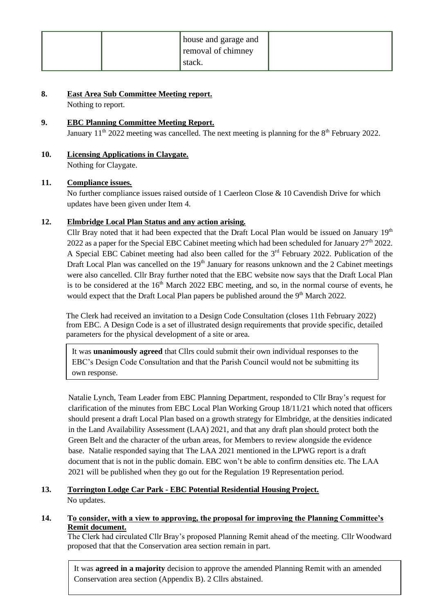|  | house and garage and |  |
|--|----------------------|--|
|  | removal of chimney   |  |
|  | stack.               |  |

#### **8. East Area Sub Committee Meeting report.**

Nothing to report.

## **9. EBC Planning Committee Meeting Report.**  January  $11^{th}$  2022 meeting was cancelled. The next meeting is planning for the  $8^{th}$  February 2022.

**10. Licensing Applications in Claygate.**  Nothing for Claygate.

#### **11. Compliance issues.**

No further compliance issues raised outside of 1 Caerleon Close & 10 Cavendish Drive for which updates have been given under Item 4.

#### **12. Elmbridge Local Plan Status and any action arising.**

Cllr Bray noted that it had been expected that the Draft Local Plan would be issued on January  $19<sup>th</sup>$ 2022 as a paper for the Special EBC Cabinet meeting which had been scheduled for January  $27<sup>th</sup> 2022$ . A Special EBC Cabinet meeting had also been called for the 3<sup>rd</sup> February 2022. Publication of the Draft Local Plan was cancelled on the  $19<sup>th</sup>$  January for reasons unknown and the 2 Cabinet meetings were also cancelled. Cllr Bray further noted that the EBC website now says that the Draft Local Plan is to be considered at the  $16<sup>th</sup>$  March 2022 EBC meeting, and so, in the normal course of events, he would expect that the Draft Local Plan papers be published around the  $9<sup>th</sup>$  March 2022.

The Clerk had received an invitation to a Design Code Consultation (closes 11th February 2022) from EBC. A Design Code is a set of illustrated design requirements that provide specific, detailed parameters for the physical development of a site or area.

It was **unanimously agreed** that Cllrs could submit their own individual responses to the EBC's Design Code Consultation and that the Parish Council would not be submitting its own response.

Natalie Lynch, Team Leader from EBC Planning Department, responded to Cllr Bray's request for clarification of the minutes from EBC Local Plan Working Group 18/11/21 which noted that officers should present a draft Local Plan based on a growth strategy for Elmbridge, at the densities indicated in the Land Availability Assessment (LAA) 2021, and that any draft plan should protect both the Green Belt and the character of the urban areas, for Members to review alongside the evidence base. Natalie responded saying that The LAA 2021 mentioned in the LPWG report is a draft document that is not in the public domain. EBC won't be able to confirm densities etc. The LAA 2021 will be published when they go out for the Regulation 19 Representation period.

### **13. Torrington Lodge Car Park - EBC Potential Residential Housing Project.** No updates.

#### **14. To consider, with a view to approving, the proposal for improving the Planning Committee's Remit document.**

The Clerk had circulated Cllr Bray's proposed Planning Remit ahead of the meeting. Cllr Woodward proposed that that the Conservation area section remain in part.

It was **agreed in a majority** decision to approve the amended Planning Remit with an amended Conservation area section (Appendix B). 2 Cllrs abstained.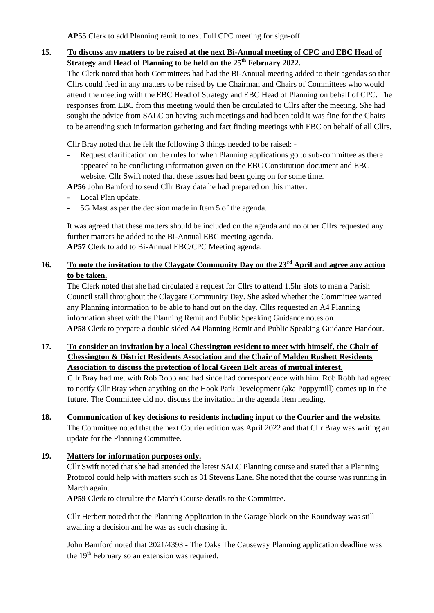**AP55** Clerk to add Planning remit to next Full CPC meeting for sign-off.

**15. To discuss any matters to be raised at the next Bi-Annual meeting of CPC and EBC Head of Strategy and Head of Planning to be held on the 25th February 2022.**

The Clerk noted that both Committees had had the Bi-Annual meeting added to their agendas so that Cllrs could feed in any matters to be raised by the Chairman and Chairs of Committees who would attend the meeting with the EBC Head of Strategy and EBC Head of Planning on behalf of CPC. The responses from EBC from this meeting would then be circulated to Cllrs after the meeting. She had sought the advice from SALC on having such meetings and had been told it was fine for the Chairs to be attending such information gathering and fact finding meetings with EBC on behalf of all Cllrs.

Cllr Bray noted that he felt the following 3 things needed to be raised: -

Request clarification on the rules for when Planning applications go to sub-committee as there appeared to be conflicting information given on the EBC Constitution document and EBC website. Cllr Swift noted that these issues had been going on for some time.

**AP56** John Bamford to send Cllr Bray data he had prepared on this matter.

- Local Plan update.
- 5G Mast as per the decision made in Item 5 of the agenda.

It was agreed that these matters should be included on the agenda and no other Cllrs requested any further matters be added to the Bi-Annual EBC meeting agenda. **AP57** Clerk to add to Bi-Annual EBC/CPC Meeting agenda.

### **16. To note the invitation to the Claygate Community Day on the 23rd April and agree any action to be taken.**

The Clerk noted that she had circulated a request for Cllrs to attend 1.5hr slots to man a Parish Council stall throughout the Claygate Community Day. She asked whether the Committee wanted any Planning information to be able to hand out on the day. Cllrs requested an A4 Planning information sheet with the Planning Remit and Public Speaking Guidance notes on. **AP58** Clerk to prepare a double sided A4 Planning Remit and Public Speaking Guidance Handout.

### **17. To consider an invitation by a local Chessington resident to meet with himself, the Chair of Chessington & District Residents Association and the Chair of Malden Rushett Residents Association to discuss the protection of local Green Belt areas of mutual interest.** Cllr Bray had met with Rob Robb and had since had correspondence with him. Rob Robb had agreed to notify Cllr Bray when anything on the Hook Park Development (aka Poppymill) comes up in the future. The Committee did not discuss the invitation in the agenda item heading.

**18. Communication of key decisions to residents including input to the Courier and the website.** The Committee noted that the next Courier edition was April 2022 and that Cllr Bray was writing an update for the Planning Committee.

#### **19. Matters for information purposes only.**

Cllr Swift noted that she had attended the latest SALC Planning course and stated that a Planning Protocol could help with matters such as 31 Stevens Lane. She noted that the course was running in March again.

**AP59** Clerk to circulate the March Course details to the Committee.

Cllr Herbert noted that the Planning Application in the Garage block on the Roundway was still awaiting a decision and he was as such chasing it.

John Bamford noted that 2021/4393 - The Oaks The Causeway Planning application deadline was the  $19<sup>th</sup>$  February so an extension was required.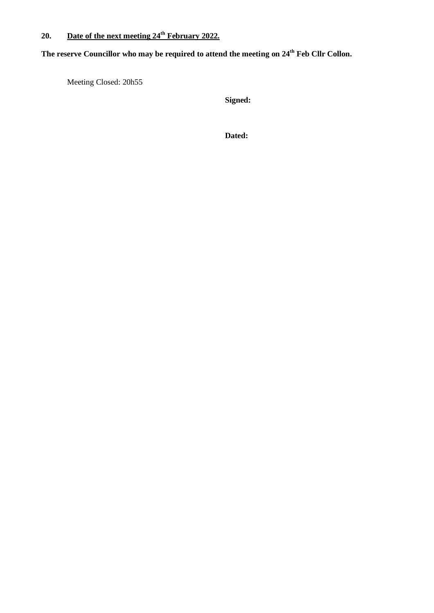## **20. Date of the next meeting 24th February 2022.**

**The reserve Councillor who may be required to attend the meeting on 24th Feb Cllr Collon.** 

Meeting Closed: 20h55

**Signed:**

**Dated:**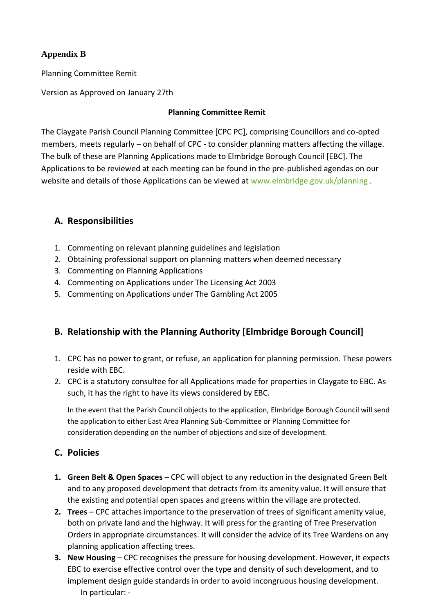## **Appendix B**

Planning Committee Remit

Version as Approved on January 27th

### **Planning Committee Remit**

The Claygate Parish Council Planning Committee [CPC PC], comprising Councillors and co-opted members, meets regularly – on behalf of CPC - to consider planning matters affecting the village. The bulk of these are Planning Applications made to Elmbridge Borough Council [EBC]. The Applications to be reviewed at each meeting can be found in the pre-published agendas on our website and details of those Applications can be viewed at [www.elmbridge.gov.uk/planning](http://www.elmbridge.gov.uk/planning) .

## **A. Responsibilities**

- 1. Commenting on relevant planning guidelines and legislation
- 2. Obtaining professional support on planning matters when deemed necessary
- 3. Commenting on Planning Applications
- 4. Commenting on Applications under The Licensing Act 2003
- 5. Commenting on Applications under The Gambling Act 2005

## **B. Relationship with the Planning Authority [Elmbridge Borough Council]**

- 1. CPC has no power to grant, or refuse, an application for planning permission. These powers reside with EBC.
- 2. CPC is a statutory consultee for all Applications made for properties in Claygate to EBC. As such, it has the right to have its views considered by EBC.

In the event that the Parish Council objects to the application, Elmbridge Borough Council will send the application to either East Area Planning Sub-Committee or Planning Committee for consideration depending on the number of objections and size of development.

## **C. Policies**

- **1. Green Belt & Open Spaces** CPC will object to any reduction in the designated Green Belt and to any proposed development that detracts from its amenity value. It will ensure that the existing and potential open spaces and greens within the village are protected.
- **2. Trees** CPC attaches importance to the preservation of trees of significant amenity value, both on private land and the highway. It will press for the granting of Tree Preservation Orders in appropriate circumstances. It will consider the advice of its Tree Wardens on any planning application affecting trees.
- **3. New Housing** CPC recognises the pressure for housing development. However, it expects EBC to exercise effective control over the type and density of such development, and to implement design guide standards in order to avoid incongruous housing development. In particular: -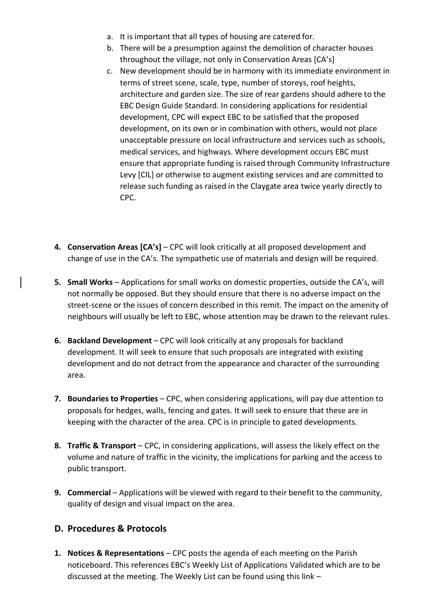- a. It is important that all types of housing are catered for.
- b. There will be a presumption against the demolition of character houses throughout the village, not only in Conservation Areas [CA's]
- c. New development should be in harmony with its immediate environment in terms of street scene, scale, type, number of storeys, roof heights, architecture and garden size. The size of rear gardens should adhere to the EBC Design Guide Standard. In considering applications for residential development, CPC will expect EBC to be satisfied that the proposed development, on its own or in combination with others, would not place unacceptable pressure on local infrastructure and services such as schools, medical services, and highways. Where development occurs EBC must ensure that appropriate funding is raised through Community Infrastructure Levy [CIL] or otherwise to augment existing services and are committed to release such funding as raised in the Claygate area twice yearly directly to CPC.
- **4. Conservation Areas [CA's]** CPC will look critically at all proposed development and change of use in the CA's. The sympathetic use of materials and design will be required.
- **5. Small Works** Applications for small works on domestic properties, outside the CA's, will not normally be opposed. But they should ensure that there is no adverse impact on the street-scene or the issues of concern described in this remit. The impact on the amenity of neighbours will usually be left to EBC, whose attention may be drawn to the relevant rules.
- **6. Backland Development** CPC will look critically at any proposals for backland development. It will seek to ensure that such proposals are integrated with existing development and do not detract from the appearance and character of the surrounding area.
- **7. Boundaries to Properties** CPC, when considering applications, will pay due attention to proposals for hedges, walls, fencing and gates. It will seek to ensure that these are in keeping with the character of the area. CPC is in principle to gated developments.
- **8. Traffic & Transport** CPC, in considering applications, will assess the likely effect on the volume and nature of traffic in the vicinity, the implications for parking and the access to public transport.
- **9. Commercial** Applications will be viewed with regard to their benefit to the community, quality of design and visual impact on the area.

## **D. Procedures & Protocols**

**1. Notices & Representations** – CPC posts the agenda of each meeting on the Parish noticeboard. This references EBC's Weekly List of Applications Validated which are to be discussed at the meeting. The Weekly List can be found using this link –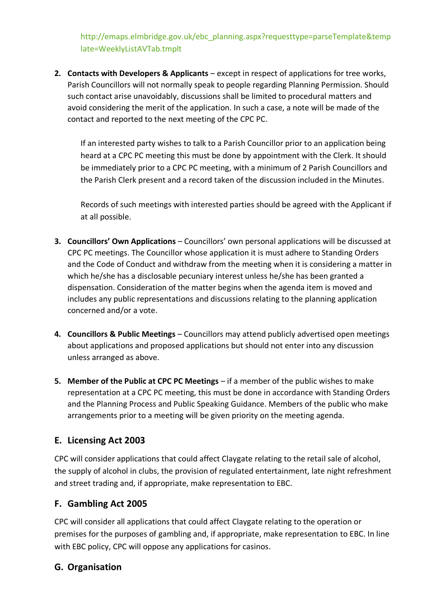[http://emaps.elmbridge.gov.uk/ebc\\_planning.aspx?requesttype=parseTemplate&temp](http://emaps.elmbridge.gov.uk/ebc_planning.aspx?requesttype=parseTemplate&template=WeeklyListAVTab.tmplt) [late=WeeklyListAVTab.tmplt](http://emaps.elmbridge.gov.uk/ebc_planning.aspx?requesttype=parseTemplate&template=WeeklyListAVTab.tmplt)

**2. Contacts with Developers & Applicants** – except in respect of applications for tree works, Parish Councillors will not normally speak to people regarding Planning Permission. Should such contact arise unavoidably, discussions shall be limited to procedural matters and avoid considering the merit of the application. In such a case, a note will be made of the contact and reported to the next meeting of the CPC PC.

If an interested party wishes to talk to a Parish Councillor prior to an application being heard at a CPC PC meeting this must be done by appointment with the Clerk. It should be immediately prior to a CPC PC meeting, with a minimum of 2 Parish Councillors and the Parish Clerk present and a record taken of the discussion included in the Minutes.

Records of such meetings with interested parties should be agreed with the Applicant if at all possible.

- **3. Councillors' Own Applications** Councillors' own personal applications will be discussed at CPC PC meetings. The Councillor whose application it is must adhere to Standing Orders and the Code of Conduct and withdraw from the meeting when it is considering a matter in which he/she has a disclosable pecuniary interest unless he/she has been granted a dispensation. Consideration of the matter begins when the agenda item is moved and includes any public representations and discussions relating to the planning application concerned and/or a vote.
- **4. Councillors & Public Meetings**  Councillors may attend publicly advertised open meetings about applications and proposed applications but should not enter into any discussion unless arranged as above.
- **5. Member of the Public at CPC PC Meetings** if a member of the public wishes to make representation at a CPC PC meeting, this must be done in accordance with Standing Orders and the Planning Process and Public Speaking Guidance. Members of the public who make arrangements prior to a meeting will be given priority on the meeting agenda.

## **E. Licensing Act 2003**

CPC will consider applications that could affect Claygate relating to the retail sale of alcohol, the supply of alcohol in clubs, the provision of regulated entertainment, late night refreshment and street trading and, if appropriate, make representation to EBC.

# **F. Gambling Act 2005**

CPC will consider all applications that could affect Claygate relating to the operation or premises for the purposes of gambling and, if appropriate, make representation to EBC. In line with EBC policy, CPC will oppose any applications for casinos.

# **G. Organisation**